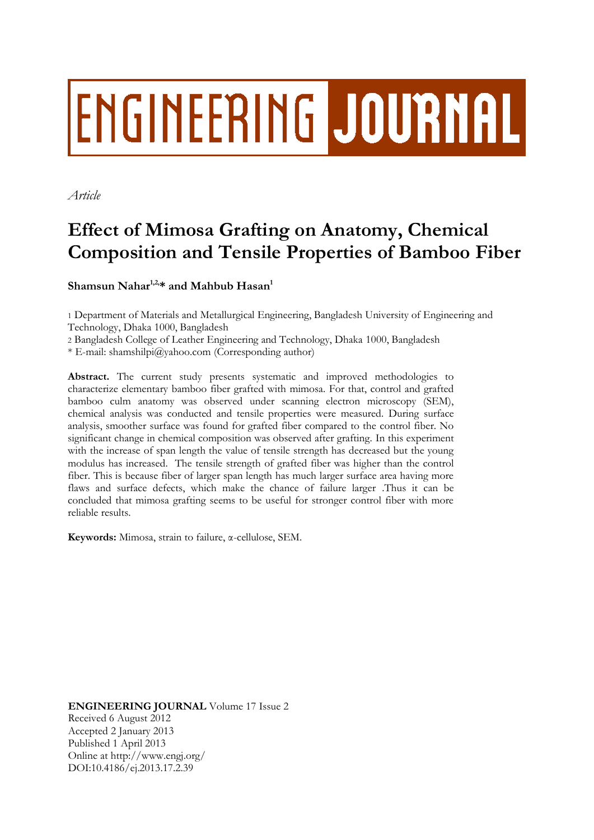# **ENGINEERING JOURNAL**

*Article*

# **Effect of Mimosa Grafting on Anatomy, Chemical Composition and Tensile Properties of Bamboo Fiber**

**Shamsun Nahar1,2, \* and Mahbub Hasan<sup>1</sup>**

1 Department of Materials and Metallurgical Engineering, Bangladesh University of Engineering and Technology, Dhaka 1000, Bangladesh

2 Bangladesh College of Leather Engineering and Technology, Dhaka 1000, Bangladesh

\* E-mail: shamshilpi@yahoo.com (Corresponding author)

**Abstract.** The current study presents systematic and improved methodologies to characterize elementary bamboo fiber grafted with mimosa. For that, control and grafted bamboo culm anatomy was observed under scanning electron microscopy (SEM), chemical analysis was conducted and tensile properties were measured. During surface analysis, smoother surface was found for grafted fiber compared to the control fiber. No significant change in chemical composition was observed after grafting. In this experiment with the increase of span length the value of tensile strength has decreased but the young modulus has increased. The tensile strength of grafted fiber was higher than the control fiber. This is because fiber of larger span length has much larger surface area having more flaws and surface defects, which make the chance of failure larger .Thus it can be concluded that mimosa grafting seems to be useful for stronger control fiber with more reliable results.

**Keywords:** Mimosa, strain to failure, α-cellulose, SEM.

**ENGINEERING JOURNAL** Volume 17 Issue 2 Received 6 August 2012 Accepted 2 January 2013 Published 1 April 2013 Online at http://www.engj.org/ DOI:10.4186/ej.2013.17.2.39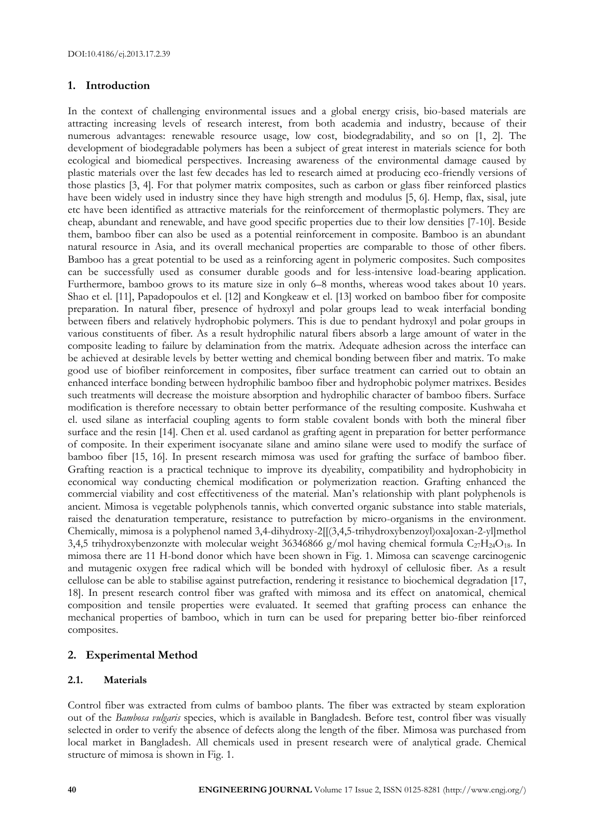# **1. Introduction**

In the context of challenging environmental issues and a global energy crisis, bio-based materials are attracting increasing levels of research interest, from both academia and industry, because of their numerous advantages: renewable resource usage, low cost, biodegradability, and so on [1, 2]. The development of biodegradable polymers has been a subject of great interest in materials science for both ecological and biomedical perspectives. Increasing awareness of the environmental damage caused by plastic materials over the last few decades has led to research aimed at producing eco-friendly versions of those plastics [3, 4]. For that polymer matrix composites, such as carbon or glass fiber reinforced plastics have been widely used in industry since they have high strength and modulus [5, 6]. Hemp, flax, sisal, jute etc have been identified as attractive materials for the reinforcement of thermoplastic polymers. They are cheap, abundant and renewable, and have good specific properties due to their low densities [7-10]. Beside them, bamboo fiber can also be used as a potential reinforcement in composite. Bamboo is an abundant natural resource in Asia, and its overall mechanical properties are comparable to those of other fibers. Bamboo has a great potential to be used as a reinforcing agent in polymeric composites. Such composites can be successfully used as consumer durable goods and for less-intensive load-bearing application. Furthermore, bamboo grows to its mature size in only 6–8 months, whereas wood takes about 10 years. Shao et el. [11], Papadopoulos et el. [12] and Kongkeaw et el. [13] worked on bamboo fiber for composite preparation. In natural fiber, presence of hydroxyl and polar groups lead to weak interfacial bonding between fibers and relatively hydrophobic polymers. This is due to pendant hydroxyl and polar groups in various constituents of fiber. As a result hydrophilic natural fibers absorb a large amount of water in the composite leading to failure by delamination from the matrix. Adequate adhesion across the interface can be achieved at desirable levels by better wetting and chemical bonding between fiber and matrix. To make good use of biofiber reinforcement in composites, fiber surface treatment can carried out to obtain an enhanced interface bonding between hydrophilic bamboo fiber and hydrophobic polymer matrixes. Besides such treatments will decrease the moisture absorption and hydrophilic character of bamboo fibers. Surface modification is therefore necessary to obtain better performance of the resulting composite. Kushwaha et el. used silane as interfacial coupling agents to form stable covalent bonds with both the mineral fiber surface and the resin [14]. Chen et al. used cardanol as grafting agent in preparation for better performance of composite. In their experiment isocyanate silane and amino silane were used to modify the surface of bamboo fiber [15, 16]. In present research mimosa was used for grafting the surface of bamboo fiber. Grafting reaction is a practical technique to improve its dyeability, compatibility and hydrophobicity in economical way conducting chemical modification or polymerization reaction. Grafting enhanced the commercial viability and cost effectitiveness of the material. Man's relationship with plant polyphenols is ancient. Mimosa is vegetable polyphenols tannis, which converted organic substance into stable materials, raised the denaturation temperature, resistance to putrefaction by micro-organisms in the environment. Chemically, mimosa is a polyphenol named 3,4-dihydroxy-2[[(3,4,5-trihydroxybenzoyl)oxa]oxan-2-yl]methol 3,4,5 trihydroxybenzonzte with molecular weight 36346866 g/mol having chemical formula  $C_{27}H_{24}O_{18}$ . In mimosa there are 11 H-bond donor which have been shown in Fig. 1. Mimosa can scavenge carcinogenic and mutagenic oxygen free radical which will be bonded with hydroxyl of cellulosic fiber. As a result cellulose can be able to stabilise against putrefaction, rendering it resistance to biochemical degradation [17, 18]. In present research control fiber was grafted with mimosa and its effect on anatomical, chemical composition and tensile properties were evaluated. It seemed that grafting process can enhance the mechanical properties of bamboo, which in turn can be used for preparing better bio-fiber reinforced composites.

# **2. Experimental Method**

# **2.1. Materials**

Control fiber was extracted from culms of bamboo plants. The fiber was extracted by steam exploration out of the *Bambosa vulgaris* species, which is available in Bangladesh. Before test, control fiber was visually selected in order to verify the absence of defects along the length of the fiber. Mimosa was purchased from local market in Bangladesh. All chemicals used in present research were of analytical grade. Chemical structure of mimosa is shown in Fig. 1.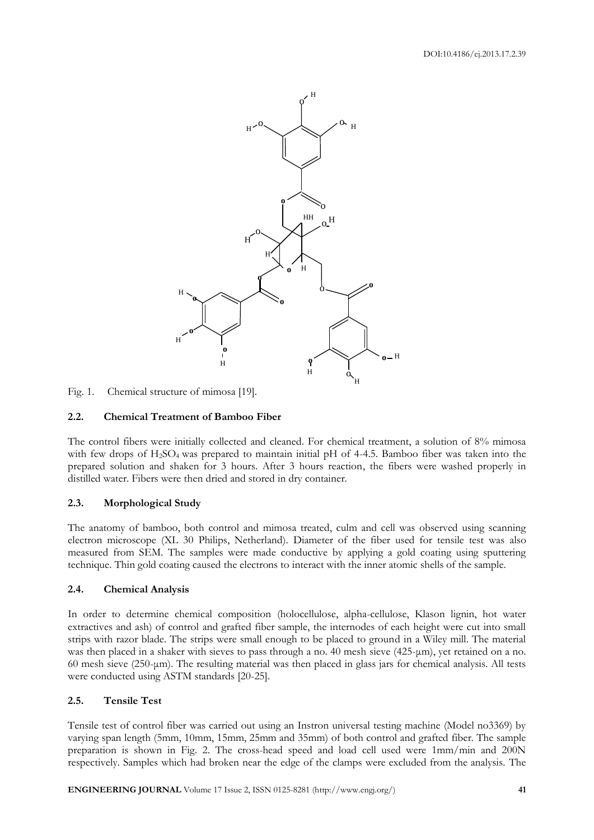

Fig. 1. Chemical structure of mimosa [19].

### **2.2. Chemical Treatment of Bamboo Fiber**

The control fibers were initially collected and cleaned. For chemical treatment, a solution of 8% mimosa with few drops of H<sub>2</sub>SO<sub>4</sub> was prepared to maintain initial pH of 4-4.5. Bamboo fiber was taken into the prepared solution and shaken for 3 hours. After 3 hours reaction, the fibers were washed properly in distilled water. Fibers were then dried and stored in dry container.

#### **2.3. Morphological Study**

The anatomy of bamboo, both control and mimosa treated, culm and cell was observed using scanning electron microscope (XL 30 Philips, Netherland). Diameter of the fiber used for tensile test was also measured from SEM. The samples were made conductive by applying a gold coating using sputtering technique. Thin gold coating caused the electrons to interact with the inner atomic shells of the sample.

#### **2.4. Chemical Analysis**

In order to determine chemical composition (holocellulose, alpha-cellulose, Klason lignin, hot water extractives and ash) of control and grafted fiber sample, the internodes of each height were cut into small strips with razor blade. The strips were small enough to be placed to ground in a Wiley mill. The material was then placed in a shaker with sieves to pass through a no. 40 mesh sieve (425-μm), yet retained on a no. 60 mesh sieve (250-μm). The resulting material was then placed in glass jars for chemical analysis. All tests were conducted using ASTM standards [20-25].

### **2.5. Tensile Test**

Tensile test of control fiber was carried out using an Instron universal testing machine (Model no3369) by varying span length (5mm, 10mm, 15mm, 25mm and 35mm) of both control and grafted fiber. The sample preparation is shown in Fig. 2. The cross-head speed and load cell used were 1mm/min and 200N respectively. Samples which had broken near the edge of the clamps were excluded from the analysis. The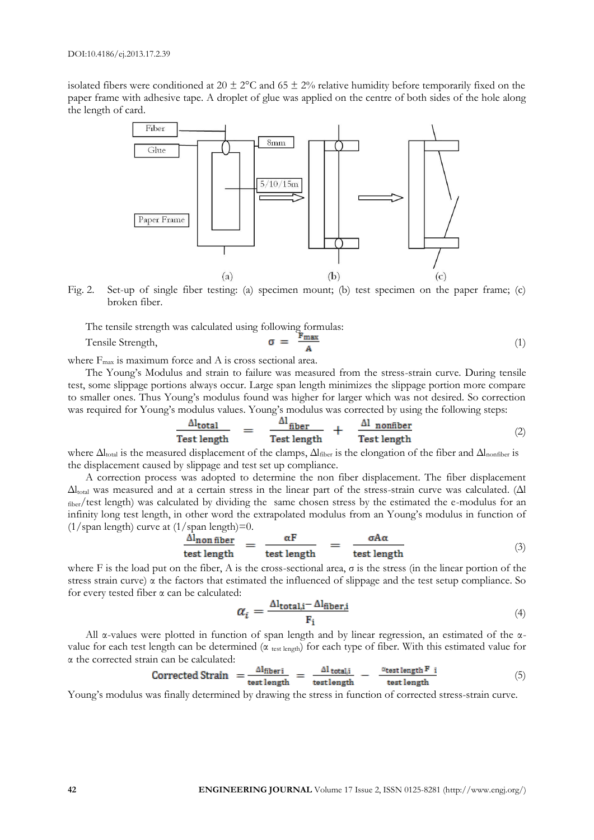isolated fibers were conditioned at 20  $\pm$  2°C and 65  $\pm$  2% relative humidity before temporarily fixed on the paper frame with adhesive tape. A droplet of glue was applied on the centre of both sides of the hole along the length of card.



Fig. 2. Set-up of single fiber testing: (a) specimen mount; (b) test specimen on the paper frame; (c) broken fiber.

The tensile strength was calculated using following formulas:

Tensile Strength, 
$$
\sigma = \frac{F_{\text{max}}}{A}
$$
 (1)

where  $F_{\text{max}}$  is maximum force and A is cross sectional area.

The Young's Modulus and strain to failure was measured from the stress-strain curve. During tensile test, some slippage portions always occur. Large span length minimizes the slippage portion more compare to smaller ones. Thus Young's modulus found was higher for larger which was not desired. So correction was required for Young's modulus values. Young's modulus was corrected by using the following steps:

$$
\frac{\Delta l_{\text{total}}}{\text{Test length}} = \frac{\Delta l_{\text{fiber}}}{\text{Test length}} + \frac{\Delta l_{\text{nonfiber}}}{\text{Test length}} \tag{2}
$$

where  $\Delta l_{\text{total}}$  is the measured displacement of the clamps,  $\Delta l_{\text{fiber}}$  is the elongation of the fiber and  $\Delta l_{\text{nonfiber}}$  is the displacement caused by slippage and test set up compliance.

A correction process was adopted to determine the non fiber displacement. The fiber displacement  $\Delta l_{\text{total}}$  was measured and at a certain stress in the linear part of the stress-strain curve was calculated. ( $\Delta l$ fiber/test length) was calculated by dividing the same chosen stress by the estimated the e-modulus for an infinity long test length, in other word the extrapolated modulus from an Young's modulus in function of (1/span length) curve at  $(1/\text{span length})=0$ .

$$
\frac{\Delta l_{\text{non fiber}}}{\text{test length}} = \frac{\alpha F}{\text{test length}} = \frac{\sigma A \alpha}{\text{test length}} \tag{3}
$$

where F is the load put on the fiber, A is the cross-sectional area,  $\sigma$  is the stress (in the linear portion of the stress strain curve)  $\alpha$  the factors that estimated the influenced of slippage and the test setup compliance. So for every tested fiber α can be calculated:

$$
\alpha_i = \frac{\Delta l_{\text{total},i} - \Delta l_{\text{fiber},i}}{F_i} \tag{4}
$$

All α-values were plotted in function of span length and by linear regression, an estimated of the αvalue for each test length can be determined (α test length) for each type of fiber. With this estimated value for α the corrected strain can be calculated:

$$
Corrected Strain = \frac{\Delta l_{\text{fiber}}}{\text{test length}} = \frac{\Delta l_{\text{total},i}}{\text{test length}} - \frac{\alpha_{\text{test length}} F_i}{\text{test length}} \tag{5}
$$

Young's modulus was finally determined by drawing the stress in function of corrected stress-strain curve.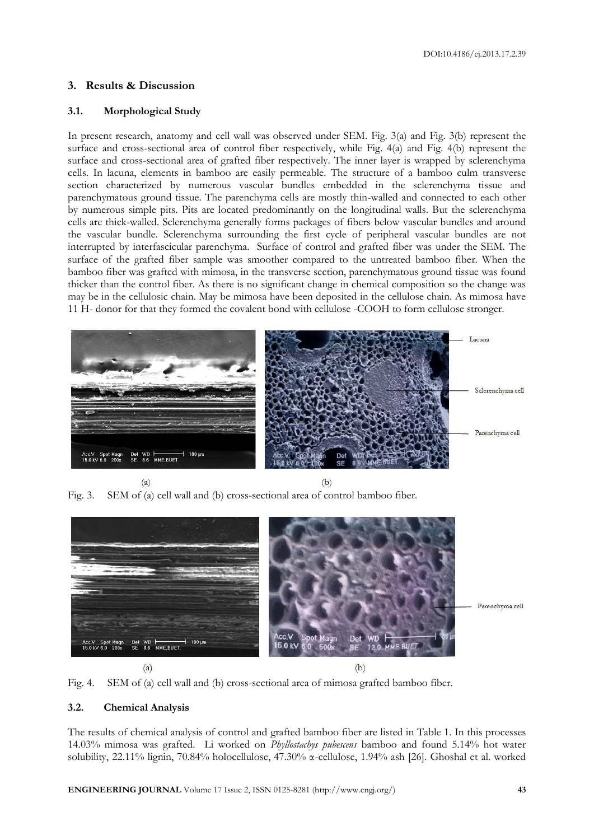# **3. Results & Discussion**

## **3.1. Morphological Study**

In present research, anatomy and cell wall was observed under SEM. Fig. 3(a) and Fig. 3(b) represent the surface and cross-sectional area of control fiber respectively, while Fig. 4(a) and Fig. 4(b) represent the surface and cross-sectional area of grafted fiber respectively. The inner layer is wrapped by sclerenchyma cells. In lacuna, elements in bamboo are easily permeable. The structure of a bamboo culm transverse section characterized by numerous vascular bundles embedded in the sclerenchyma tissue and parenchymatous ground tissue. The parenchyma cells are mostly thin-walled and connected to each other by numerous simple pits. Pits are located predominantly on the longitudinal walls. But the sclerenchyma cells are thick-walled. Sclerenchyma generally forms packages of fibers below vascular bundles and around the vascular bundle. Sclerenchyma surrounding the first cycle of peripheral vascular bundles are not interrupted by interfascicular parenchyma. Surface of control and grafted fiber was under the SEM. The surface of the grafted fiber sample was smoother compared to the untreated bamboo fiber. When the bamboo fiber was grafted with mimosa, in the transverse section, parenchymatous ground tissue was found thicker than the control fiber. As there is no significant change in chemical composition so the change was may be in the cellulosic chain. May be mimosa have been deposited in the cellulose chain. As mimosa have 11 H- donor for that they formed the covalent bond with cellulose -COOH to form cellulose stronger.



 $(a)$ 

 $(b)$ 

Fig. 3. SEM of (a) cell wall and (b) cross-sectional area of control bamboo fiber.





# **3.2. Chemical Analysis**

The results of chemical analysis of control and grafted bamboo fiber are listed in Table 1. In this processes 14.03% mimosa was grafted. Li worked on *Phyllostachys pubescens* bamboo and found 5.14% hot water solubility, 22.11% lignin, 70.84% holocellulose, 47.30% α-cellulose, 1.94% ash [26]. Ghoshal et al. worked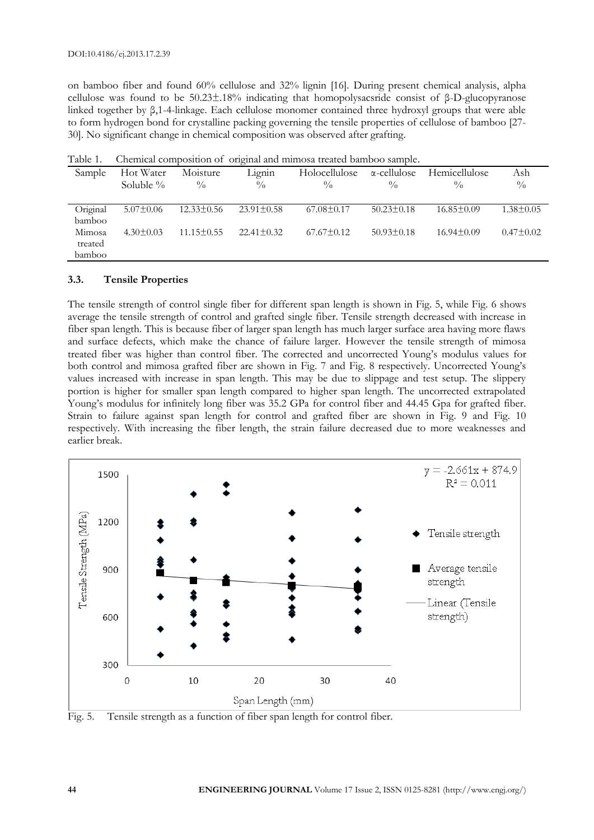on bamboo fiber and found 60% cellulose and 32% lignin [16]. During present chemical analysis, alpha cellulose was found to be 50.23±.18% indicating that homopolysacsride consist of β-D-glucopyranose linked together by β,1-4-linkage. Each cellulose monomer contained three hydroxyl groups that were able to form hydrogen bond for crystalline packing governing the tensile properties of cellulose of bamboo [27- 30]. No significant change in chemical composition was observed after grafting.

| Sample   | Hot Water       | Moisture         | Lignin           | Holocellulose    | $\alpha$ -cellulose | Hemicellulose    | Ash             |
|----------|-----------------|------------------|------------------|------------------|---------------------|------------------|-----------------|
|          | Soluble $\%$    | $\frac{0}{0}$    | $\frac{0}{0}$    | $\frac{0}{0}$    | $\frac{0}{0}$       | $^{0}/_{0}$      | $\frac{0}{0}$   |
|          |                 |                  |                  |                  |                     |                  |                 |
| Original | $5.07 \pm 0.06$ | $12.33 \pm 0.56$ | $23.91 \pm 0.58$ | $67.08 \pm 0.17$ | $50.23 \pm 0.18$    | $16.85 \pm 0.09$ | $1.38 \pm 0.05$ |
| bamboo   |                 |                  |                  |                  |                     |                  |                 |
| Mimosa   | $4.30 \pm 0.03$ | $11.15 \pm 0.55$ | $22.41 \pm 0.32$ | $67.67 \pm 0.12$ | $50.93 \pm 0.18$    | $16.94 \pm 0.09$ | $0.47 \pm 0.02$ |
| treated  |                 |                  |                  |                  |                     |                  |                 |
| bamboo   |                 |                  |                  |                  |                     |                  |                 |

Table 1. Chemical composition of original and mimosa treated bamboo sample.

#### **3.3. Tensile Properties**

The tensile strength of control single fiber for different span length is shown in Fig. 5, while Fig. 6 shows average the tensile strength of control and grafted single fiber. Tensile strength decreased with increase in fiber span length. This is because fiber of larger span length has much larger surface area having more flaws and surface defects, which make the chance of failure larger. However the tensile strength of mimosa treated fiber was higher than control fiber. The corrected and uncorrected Young's modulus values for both control and mimosa grafted fiber are shown in Fig. 7 and Fig. 8 respectively. Uncorrected Young's values increased with increase in span length. This may be due to slippage and test setup. The slippery portion is higher for smaller span length compared to higher span length. The uncorrected extrapolated Young's modulus for infinitely long fiber was 35.2 GPa for control fiber and 44.45 Gpa for grafted fiber. Strain to failure against span length for control and grafted fiber are shown in Fig. 9 and Fig. 10 respectively. With increasing the fiber length, the strain failure decreased due to more weaknesses and earlier break.



Fig. 5. Tensile strength as a function of fiber span length for control fiber.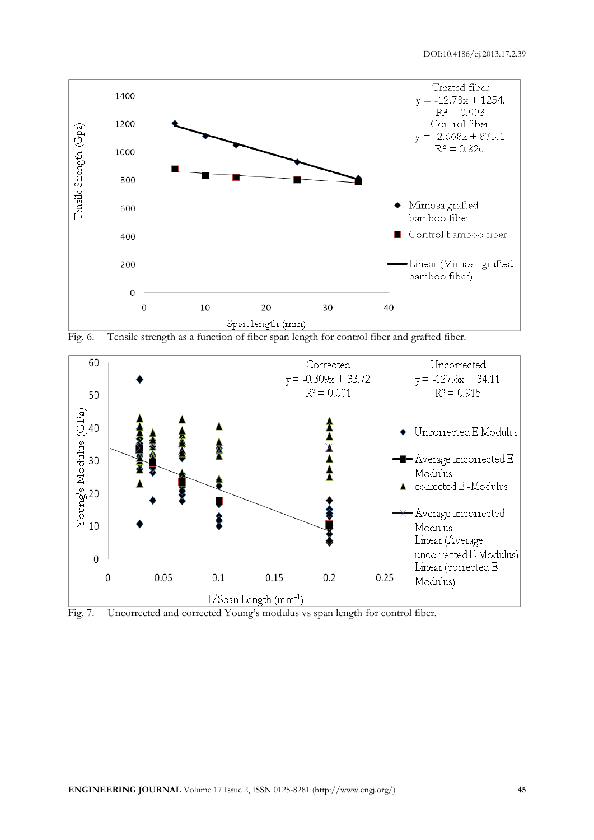





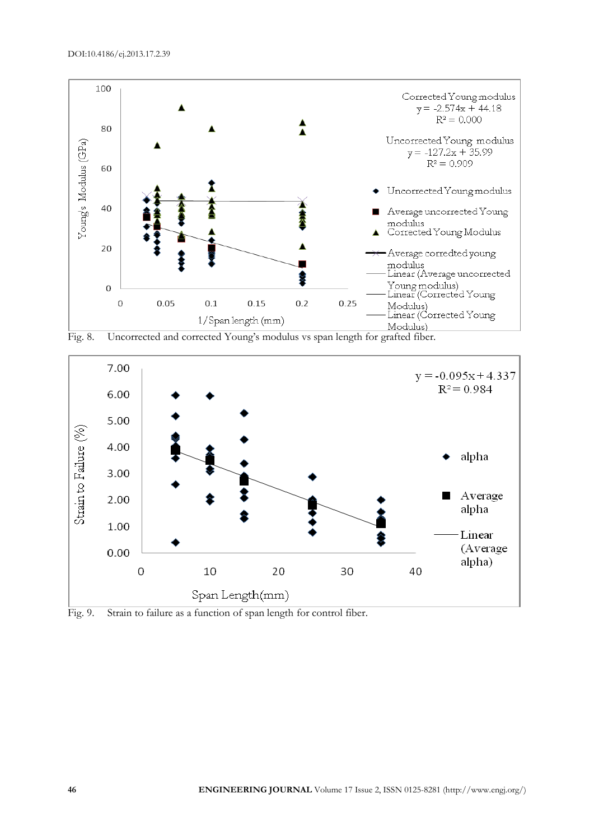





Fig. 9. Strain to failure as a function of span length for control fiber.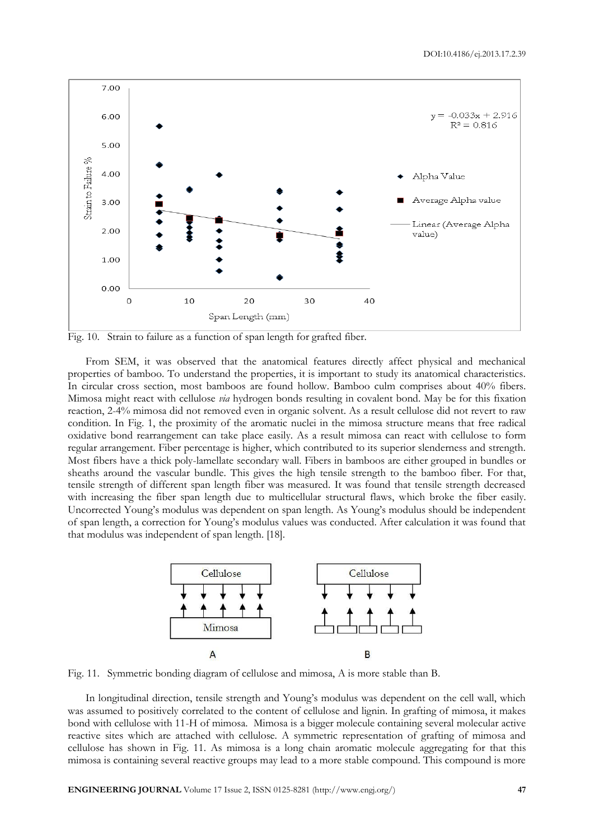

Fig. 10. Strain to failure as a function of span length for grafted fiber.

From SEM, it was observed that the anatomical features directly affect physical and mechanical properties of bamboo. To understand the properties, it is important to study its anatomical characteristics. In circular cross section, most bamboos are found hollow. Bamboo culm comprises about 40% fibers. Mimosa might react with cellulose *via* hydrogen bonds resulting in covalent bond. May be for this fixation reaction, 2-4% mimosa did not removed even in organic solvent. As a result cellulose did not revert to raw condition. In Fig. 1, the proximity of the aromatic nuclei in the mimosa structure means that free radical oxidative bond rearrangement can take place easily. As a result mimosa can react with cellulose to form regular arrangement. Fiber percentage is higher, which contributed to its superior slenderness and strength. Most fibers have a thick poly-lamellate secondary wall. Fibers in bamboos are either grouped in bundles or sheaths around the vascular bundle. This gives the high tensile strength to the bamboo fiber. For that, tensile strength of different span length fiber was measured. It was found that tensile strength decreased with increasing the fiber span length due to multicellular structural flaws, which broke the fiber easily. Uncorrected Young's modulus was dependent on span length. As Young's modulus should be independent of span length, a correction for Young's modulus values was conducted. After calculation it was found that that modulus was independent of span length. [18].



Fig. 11. Symmetric bonding diagram of cellulose and mimosa, A is more stable than B.

In longitudinal direction, tensile strength and Young's modulus was dependent on the cell wall, which was assumed to positively correlated to the content of cellulose and lignin. In grafting of mimosa, it makes bond with cellulose with 11-H of mimosa. Mimosa is a bigger molecule containing several molecular active reactive sites which are attached with cellulose. A symmetric representation of grafting of mimosa and cellulose has shown in Fig. 11. As mimosa is a long chain aromatic molecule aggregating for that this mimosa is containing several reactive groups may lead to a more stable compound. This compound is more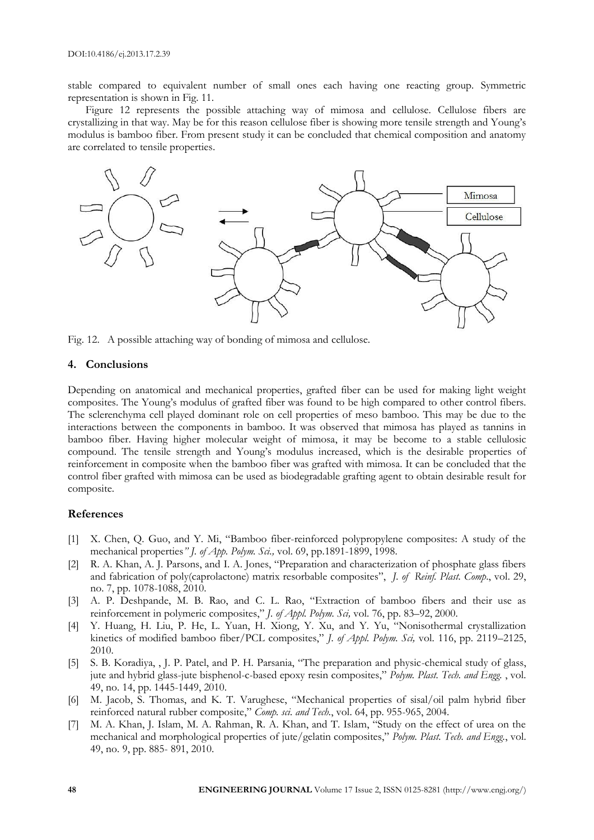stable compared to equivalent number of small ones each having one reacting group. Symmetric representation is shown in Fig. 11.

Figure 12 represents the possible attaching way of mimosa and cellulose. Cellulose fibers are crystallizing in that way. May be for this reason cellulose fiber is showing more tensile strength and Young's modulus is bamboo fiber. From present study it can be concluded that chemical composition and anatomy are correlated to tensile properties.



Fig. 12. A possible attaching way of bonding of mimosa and cellulose.

#### **4. Conclusions**

Depending on anatomical and mechanical properties, grafted fiber can be used for making light weight composites. The Young's modulus of grafted fiber was found to be high compared to other control fibers. The sclerenchyma cell played dominant role on cell properties of meso bamboo. This may be due to the interactions between the components in bamboo. It was observed that mimosa has played as tannins in bamboo fiber. Having higher molecular weight of mimosa, it may be become to a stable cellulosic compound. The tensile strength and Young's modulus increased, which is the desirable properties of reinforcement in composite when the bamboo fiber was grafted with mimosa. It can be concluded that the control fiber grafted with mimosa can be used as biodegradable grafting agent to obtain desirable result for composite.

#### **References**

- [1] X. Chen, Q. Guo, and Y. Mi, "Bamboo fiber-reinforced polypropylene composites: A study of the mechanical properties*" J. of App. Polym. Sci.,* vol. 69, pp.1891-1899, 1998.
- [2] R. A. Khan, A. J. Parsons, and I. A. Jones, "Preparation and characterization of phosphate glass fibers and fabrication of poly(caprolactone) matrix resorbable composites", *J. of Reinf. Plast. Comp*., vol. 29, no. 7, pp. 1078-1088, 2010.
- [3] A. P. Deshpande, M. B. Rao, and C. L. Rao, "Extraction of bamboo fibers and their use as reinforcement in polymeric composites," *J. of Appl. Polym. Sci,* vol. 76, pp. 83–92, 2000.
- [4] Y. Huang, H. Liu, P. He, L. Yuan, H. Xiong, Y. Xu, and Y. Yu, "Nonisothermal crystallization kinetics of modified bamboo fiber/PCL composites," *J. of Appl. Polym. Sci,* vol. 116, pp. 2119–2125, 2010.
- [5] S. B. Koradiya, , J. P. Patel, and P. H. Parsania, "The preparation and physic-chemical study of glass, jute and hybrid glass-jute bisphenol-c-based epoxy resin composites," *Polym. Plast. Tech. and Engg.* , vol. 49, no. 14, pp. 1445-1449, 2010.
- [6] M. Jacob, S. Thomas, and K. T. Varughese, "Mechanical properties of sisal/oil palm hybrid fiber reinforced natural rubber composite," *Comp. sci. and Tech.*, vol. 64, pp. 955-965, 2004.
- [7] M. A. Khan, J. Islam, M. A. Rahman, R. A. Khan, and T. Islam, "Study on the effect of urea on the mechanical and morphological properties of jute/gelatin composites," *Polym. Plast. Tech. and Engg.*, vol. 49, no. 9, pp. 885- 891, 2010.